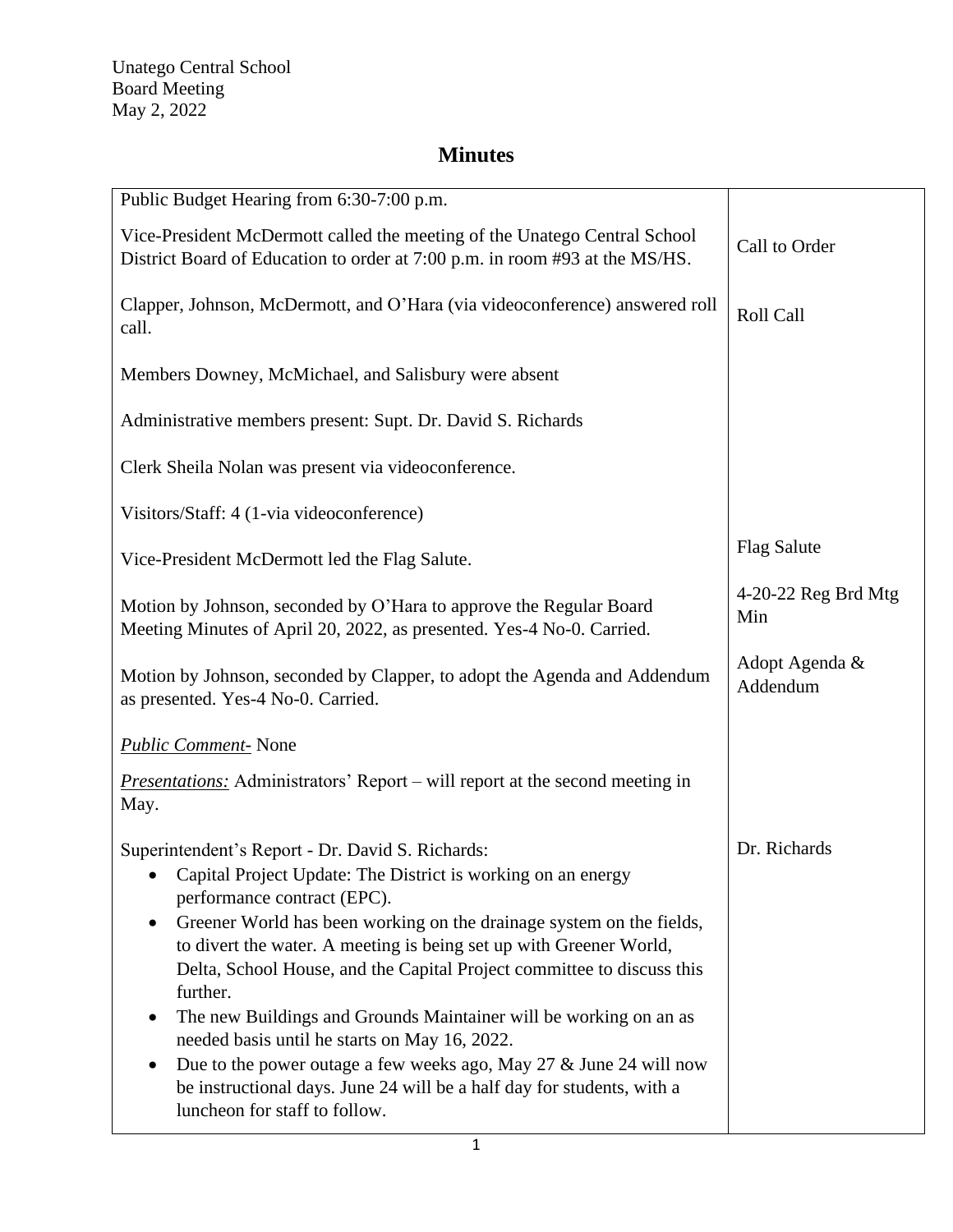| Public Budget Hearing from 6:30-7:00 p.m.                                                                                                                                                                                                                                                                                                                                                                                                                                                                                                                                                                                                                                                  |                            |
|--------------------------------------------------------------------------------------------------------------------------------------------------------------------------------------------------------------------------------------------------------------------------------------------------------------------------------------------------------------------------------------------------------------------------------------------------------------------------------------------------------------------------------------------------------------------------------------------------------------------------------------------------------------------------------------------|----------------------------|
| Vice-President McDermott called the meeting of the Unatego Central School<br>District Board of Education to order at 7:00 p.m. in room #93 at the MS/HS.                                                                                                                                                                                                                                                                                                                                                                                                                                                                                                                                   | Call to Order              |
| Clapper, Johnson, McDermott, and O'Hara (via videoconference) answered roll<br>call.                                                                                                                                                                                                                                                                                                                                                                                                                                                                                                                                                                                                       | Roll Call                  |
| Members Downey, McMichael, and Salisbury were absent                                                                                                                                                                                                                                                                                                                                                                                                                                                                                                                                                                                                                                       |                            |
| Administrative members present: Supt. Dr. David S. Richards                                                                                                                                                                                                                                                                                                                                                                                                                                                                                                                                                                                                                                |                            |
| Clerk Sheila Nolan was present via videoconference.                                                                                                                                                                                                                                                                                                                                                                                                                                                                                                                                                                                                                                        |                            |
| Visitors/Staff: 4 (1-via videoconference)                                                                                                                                                                                                                                                                                                                                                                                                                                                                                                                                                                                                                                                  |                            |
| Vice-President McDermott led the Flag Salute.                                                                                                                                                                                                                                                                                                                                                                                                                                                                                                                                                                                                                                              | <b>Flag Salute</b>         |
| Motion by Johnson, seconded by O'Hara to approve the Regular Board<br>Meeting Minutes of April 20, 2022, as presented. Yes-4 No-0. Carried.                                                                                                                                                                                                                                                                                                                                                                                                                                                                                                                                                | 4-20-22 Reg Brd Mtg<br>Min |
| Motion by Johnson, seconded by Clapper, to adopt the Agenda and Addendum<br>as presented. Yes-4 No-0. Carried.                                                                                                                                                                                                                                                                                                                                                                                                                                                                                                                                                                             | Adopt Agenda &<br>Addendum |
| <b>Public Comment-</b> None                                                                                                                                                                                                                                                                                                                                                                                                                                                                                                                                                                                                                                                                |                            |
| <b>Presentations:</b> Administrators' Report – will report at the second meeting in<br>May.                                                                                                                                                                                                                                                                                                                                                                                                                                                                                                                                                                                                |                            |
| Superintendent's Report - Dr. David S. Richards:<br>Capital Project Update: The District is working on an energy<br>performance contract (EPC).<br>Greener World has been working on the drainage system on the fields,<br>to divert the water. A meeting is being set up with Greener World,<br>Delta, School House, and the Capital Project committee to discuss this<br>further.<br>The new Buildings and Grounds Maintainer will be working on an as<br>needed basis until he starts on May 16, 2022.<br>Due to the power outage a few weeks ago, May 27 & June 24 will now<br>be instructional days. June 24 will be a half day for students, with a<br>luncheon for staff to follow. | Dr. Richards               |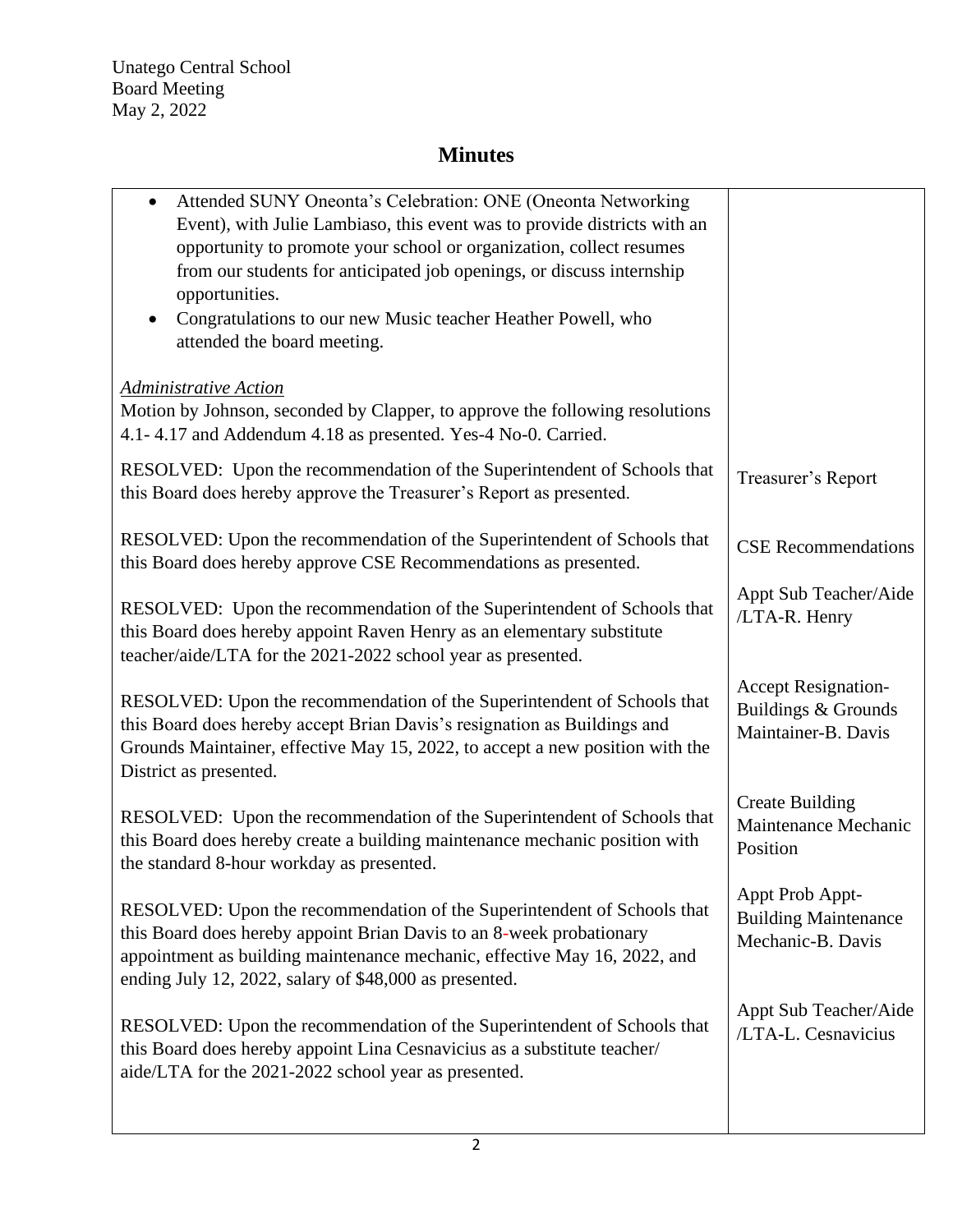Unatego Central School Board Meeting May 2, 2022

| Attended SUNY Oneonta's Celebration: ONE (Oneonta Networking<br>$\bullet$<br>Event), with Julie Lambiaso, this event was to provide districts with an<br>opportunity to promote your school or organization, collect resumes<br>from our students for anticipated job openings, or discuss internship<br>opportunities. |                                                                          |
|-------------------------------------------------------------------------------------------------------------------------------------------------------------------------------------------------------------------------------------------------------------------------------------------------------------------------|--------------------------------------------------------------------------|
| Congratulations to our new Music teacher Heather Powell, who<br>attended the board meeting.                                                                                                                                                                                                                             |                                                                          |
| <b>Administrative Action</b><br>Motion by Johnson, seconded by Clapper, to approve the following resolutions<br>4.1-4.17 and Addendum 4.18 as presented. Yes-4 No-0. Carried.                                                                                                                                           |                                                                          |
| RESOLVED: Upon the recommendation of the Superintendent of Schools that<br>this Board does hereby approve the Treasurer's Report as presented.                                                                                                                                                                          | Treasurer's Report                                                       |
| RESOLVED: Upon the recommendation of the Superintendent of Schools that<br>this Board does hereby approve CSE Recommendations as presented.                                                                                                                                                                             | <b>CSE Recommendations</b>                                               |
| RESOLVED: Upon the recommendation of the Superintendent of Schools that<br>this Board does hereby appoint Raven Henry as an elementary substitute<br>teacher/aide/LTA for the 2021-2022 school year as presented.                                                                                                       | Appt Sub Teacher/Aide<br>/LTA-R. Henry                                   |
| RESOLVED: Upon the recommendation of the Superintendent of Schools that<br>this Board does hereby accept Brian Davis's resignation as Buildings and<br>Grounds Maintainer, effective May 15, 2022, to accept a new position with the<br>District as presented.                                                          | <b>Accept Resignation-</b><br>Buildings & Grounds<br>Maintainer-B. Davis |
| RESOLVED: Upon the recommendation of the Superintendent of Schools that<br>this Board does hereby create a building maintenance mechanic position with<br>the standard 8-hour workday as presented.                                                                                                                     | <b>Create Building</b><br>Maintenance Mechanic<br>Position               |
| RESOLVED: Upon the recommendation of the Superintendent of Schools that<br>this Board does hereby appoint Brian Davis to an 8-week probationary<br>appointment as building maintenance mechanic, effective May 16, 2022, and<br>ending July 12, 2022, salary of \$48,000 as presented.                                  | Appt Prob Appt-<br><b>Building Maintenance</b><br>Mechanic-B. Davis      |
| RESOLVED: Upon the recommendation of the Superintendent of Schools that<br>this Board does hereby appoint Lina Cesnavicius as a substitute teacher/<br>aide/LTA for the 2021-2022 school year as presented.                                                                                                             | Appt Sub Teacher/Aide<br>/LTA-L. Cesnavicius                             |
|                                                                                                                                                                                                                                                                                                                         |                                                                          |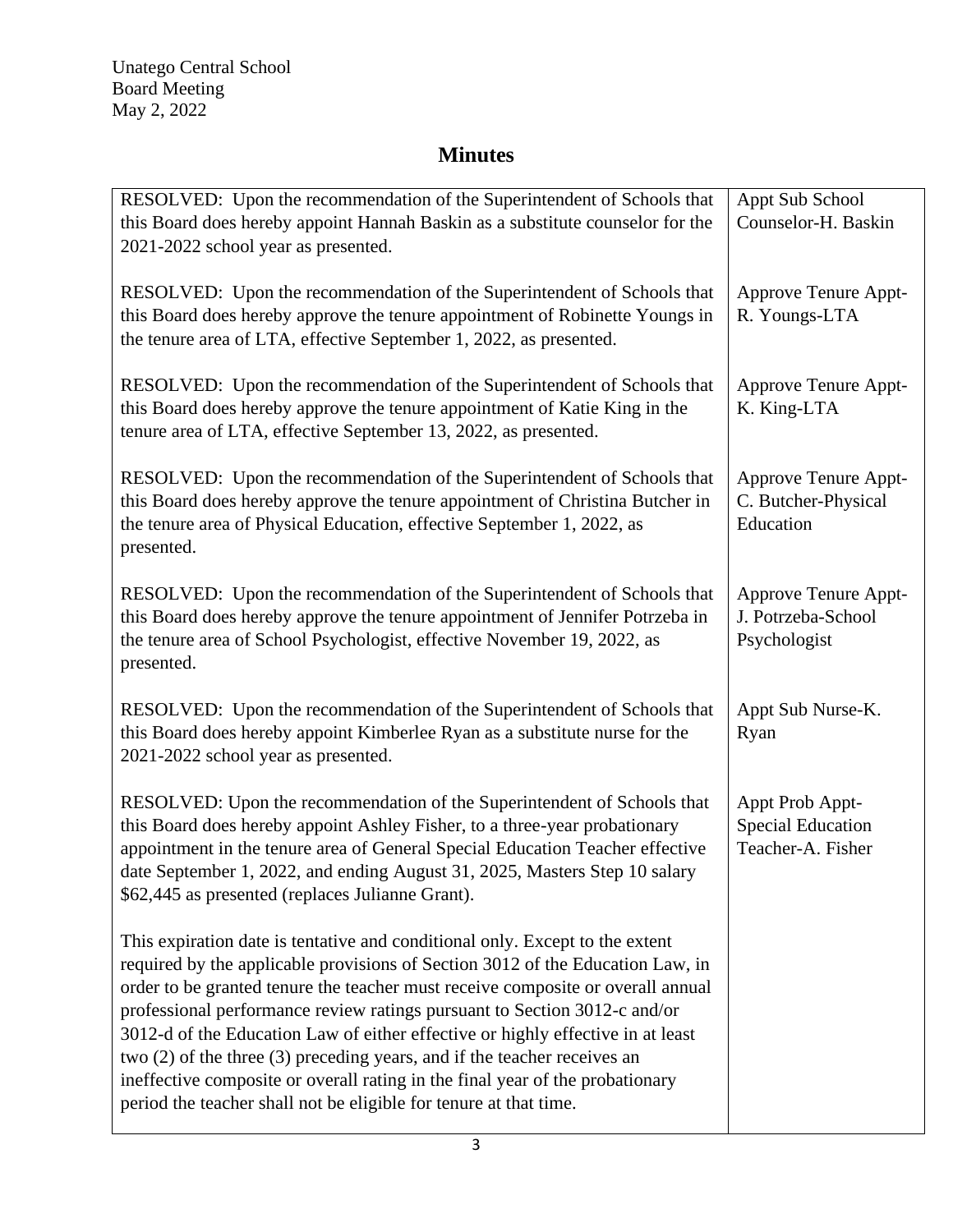| RESOLVED: Upon the recommendation of the Superintendent of Schools that<br>this Board does hereby appoint Hannah Baskin as a substitute counselor for the<br>2021-2022 school year as presented.                                                                                                                                                                                                                                                                                                                                                                                                                                                    | Appt Sub School<br>Counselor-H. Baskin                           |
|-----------------------------------------------------------------------------------------------------------------------------------------------------------------------------------------------------------------------------------------------------------------------------------------------------------------------------------------------------------------------------------------------------------------------------------------------------------------------------------------------------------------------------------------------------------------------------------------------------------------------------------------------------|------------------------------------------------------------------|
| RESOLVED: Upon the recommendation of the Superintendent of Schools that<br>this Board does hereby approve the tenure appointment of Robinette Youngs in<br>the tenure area of LTA, effective September 1, 2022, as presented.                                                                                                                                                                                                                                                                                                                                                                                                                       | Approve Tenure Appt-<br>R. Youngs-LTA                            |
| RESOLVED: Upon the recommendation of the Superintendent of Schools that<br>this Board does hereby approve the tenure appointment of Katie King in the<br>tenure area of LTA, effective September 13, 2022, as presented.                                                                                                                                                                                                                                                                                                                                                                                                                            | Approve Tenure Appt-<br>K. King-LTA                              |
| RESOLVED: Upon the recommendation of the Superintendent of Schools that<br>this Board does hereby approve the tenure appointment of Christina Butcher in<br>the tenure area of Physical Education, effective September 1, 2022, as<br>presented.                                                                                                                                                                                                                                                                                                                                                                                                    | Approve Tenure Appt-<br>C. Butcher-Physical<br>Education         |
| RESOLVED: Upon the recommendation of the Superintendent of Schools that<br>this Board does hereby approve the tenure appointment of Jennifer Potrzeba in<br>the tenure area of School Psychologist, effective November 19, 2022, as<br>presented.                                                                                                                                                                                                                                                                                                                                                                                                   | Approve Tenure Appt-<br>J. Potrzeba-School<br>Psychologist       |
| RESOLVED: Upon the recommendation of the Superintendent of Schools that<br>this Board does hereby appoint Kimberlee Ryan as a substitute nurse for the<br>2021-2022 school year as presented.                                                                                                                                                                                                                                                                                                                                                                                                                                                       | Appt Sub Nurse-K.<br>Ryan                                        |
| RESOLVED: Upon the recommendation of the Superintendent of Schools that<br>this Board does hereby appoint Ashley Fisher, to a three-year probationary<br>appointment in the tenure area of General Special Education Teacher effective<br>date September 1, 2022, and ending August 31, 2025, Masters Step 10 salary<br>\$62,445 as presented (replaces Julianne Grant).                                                                                                                                                                                                                                                                            | Appt Prob Appt-<br><b>Special Education</b><br>Teacher-A. Fisher |
| This expiration date is tentative and conditional only. Except to the extent<br>required by the applicable provisions of Section 3012 of the Education Law, in<br>order to be granted tenure the teacher must receive composite or overall annual<br>professional performance review ratings pursuant to Section 3012-c and/or<br>3012-d of the Education Law of either effective or highly effective in at least<br>two (2) of the three (3) preceding years, and if the teacher receives an<br>ineffective composite or overall rating in the final year of the probationary<br>period the teacher shall not be eligible for tenure at that time. |                                                                  |